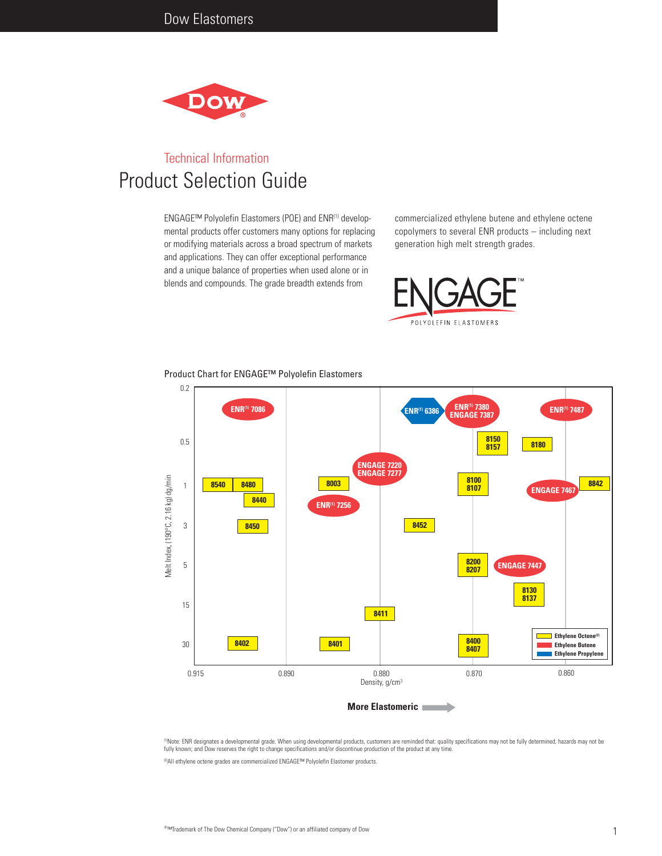

# Technical Information Product Selection Guide

ENGAGE™ Polyolefin Elastomers (POE) and ENR(1) developmental products offer customers many options for replacing or modifying materials across a broad spectrum of markets and applications. They can offer exceptional performance and a unique balance of properties when used alone or in blends and compounds. The grade breadth extends from

commercialized ethylene butene and ethylene octene copolymers to several ENR products – including next generation high melt strength grades.





Product Chart for ENGAGE™ Polyolefin Elastomers

<sup>(1)</sup>Note: ENR designates a developmental grade. When using developmental products, customers are reminded that: quality specifications may not be fully determined; hazards may not be fully known; and Dow reserves the right to change specifications and/or discontinue production of the product at any time.

(2)All ethylene octene grades are commercialized ENGAGE™ Polyolefin Elastomer products.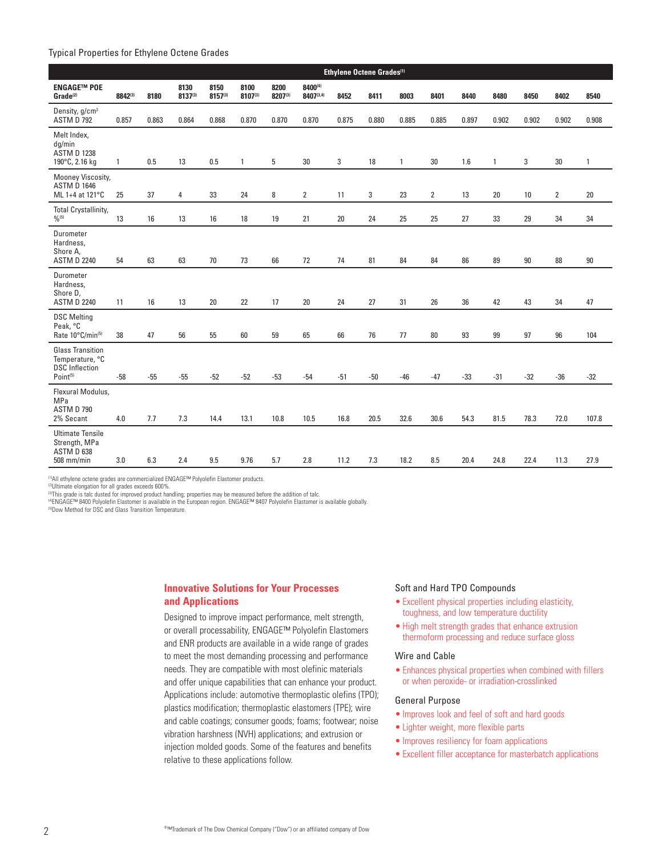## Typical Properties for Ethylene Octene Grades

|                                                                                             |              |       |                 |                      |                 | Ethylene Octene Grades <sup>(1)</sup> |                      |       |       |              |       |       |              |       |                |              |
|---------------------------------------------------------------------------------------------|--------------|-------|-----------------|----------------------|-----------------|---------------------------------------|----------------------|-------|-------|--------------|-------|-------|--------------|-------|----------------|--------------|
| <b>ENGAGE™ POE</b><br>Grade <sup>(2)</sup>                                                  | 8842(3)      | 8180  | 8130<br>8137(3) | 8150<br>$8157^{(3)}$ | 8100<br>8107(3) | 8200<br>8207(3)                       | 8400(4)<br>8407(3,4) | 8452  | 8411  | 8003         | 8401  | 8440  | 8480         | 8450  | 8402           | 8540         |
| Density, g/cm <sup>3</sup><br><b>ASTM D 792</b>                                             | 0.857        | 0.863 | 0.864           | 0.868                | 0.870           | 0.870                                 | 0.870                | 0.875 | 0.880 | 0.885        | 0.885 | 0.897 | 0.902        | 0.902 | 0.902          | 0.908        |
| Melt Index,<br>dg/min<br><b>ASTM D 1238</b><br>190°C, 2.16 kg                               | $\mathbf{1}$ | 0.5   | 13              | 0.5                  | $\mathbf{1}$    | 5                                     | 30                   | 3     | 18    | $\mathbf{1}$ | 30    | 1.6   | $\mathbf{1}$ | 3     | 30             | $\mathbf{1}$ |
| Mooney Viscosity,<br><b>ASTM D 1646</b><br>ML 1+4 at 121°C                                  | 25           | 37    | 4               | 33                   | 24              | 8                                     | $\overline{2}$       | 11    | 3     | 23           | 2     | 13    | 20           | 10    | $\overline{2}$ | 20           |
| Total Crystallinity,<br>$\frac{0}{0}$ (5)                                                   | 13           | 16    | 13              | 16                   | 18              | 19                                    | 21                   | 20    | 24    | 25           | 25    | 27    | 33           | 29    | 34             | 34           |
| Durometer<br>Hardness,<br>Shore A,<br><b>ASTM D 2240</b>                                    | 54           | 63    | 63              | 70                   | 73              | 66                                    | 72                   | 74    | 81    | 84           | 84    | 86    | 89           | 90    | 88             | 90           |
| Durometer<br>Hardness,<br>Shore D,<br><b>ASTM D 2240</b>                                    | 11           | 16    | 13              | 20                   | 22              | 17                                    | $20\,$               | 24    | 27    | 31           | 26    | 36    | 42           | 43    | 34             | 47           |
| <b>DSC Melting</b><br>Peak, °C<br>Rate 10°C/min <sup>(5)</sup>                              | 38           | 47    | 56              | 55                   | 60              | 59                                    | 65                   | 66    | 76    | 77           | 80    | 93    | 99           | 97    | 96             | 104          |
| <b>Glass Transition</b><br>Temperature, °C<br><b>DSC</b> Inflection<br>Point <sup>(5)</sup> | $-58$        | $-55$ | $-55$           | $-52$                | $-52$           | $-53$                                 | $-54$                | $-51$ | $-50$ | $-46$        | $-47$ | $-33$ | $-31$        | $-32$ | $-36$          | $-32$        |
| Flexural Modulus,<br>MPa<br>ASTM D 790<br>2% Secant                                         | 4.0          | 7.7   | 7.3             | 14.4                 | 13.1            | 10.8                                  | 10.5                 | 16.8  | 20.5  | 32.6         | 30.6  | 54.3  | 81.5         | 78.3  | 72.0           | 107.8        |
| <b>Ultimate Tensile</b><br>Strength, MPa<br>ASTM D 638<br>508 mm/min                        | 3.0          | 6.3   | 2.4             | 9.5                  | 9.76            | 5.7                                   | 2.8                  | 11.2  | 7.3   | 18.2         | 8.5   | 20.4  | 24.8         | 22.4  | 11.3           | 27.9         |

(1)All ethylene octene grades are commercialized ENGAGE™ Polyolefin Elastomer products.

¤Ultimate elongation for all grades exceeds 600%.<br>बThis grade is talc dusted for improved product handling; properties may be measured before the addition of talc.<br>@ENGAGE™ 8400 Polyolefin Elastomer is available in the E

(5)Dow Method for DSC and Glass Transition Temperature.

# **Innovative Solutions for Your Processes and Applications**

Designed to improve impact performance, melt strength, or overall processability, ENGAGE™ Polyolefin Elastomers and ENR products are available in a wide range of grades to meet the most demanding processing and performance needs. They are compatible with most olefinic materials and offer unique capabilities that can enhance your product. Applications include: automotive thermoplastic olefins (TPO); plastics modification; thermoplastic elastomers (TPE); wire and cable coatings; consumer goods; foams; footwear; noise vibration harshness (NVH) applications; and extrusion or injection molded goods. Some of the features and benefits relative to these applications follow.

# Soft and Hard TPO Compounds

- Excellent physical properties including elasticity, toughness, and low temperature ductility
- High melt strength grades that enhance extrusion thermoform processing and reduce surface gloss

### Wire and Cable

• Enhances physical properties when combined with fillers or when peroxide- or irradiation-crosslinked

#### General Purpose

- Improves look and feel of soft and hard goods
- Lighter weight, more flexible parts
- Improves resiliency for foam applications
- • Excellent filler acceptance for masterbatch applications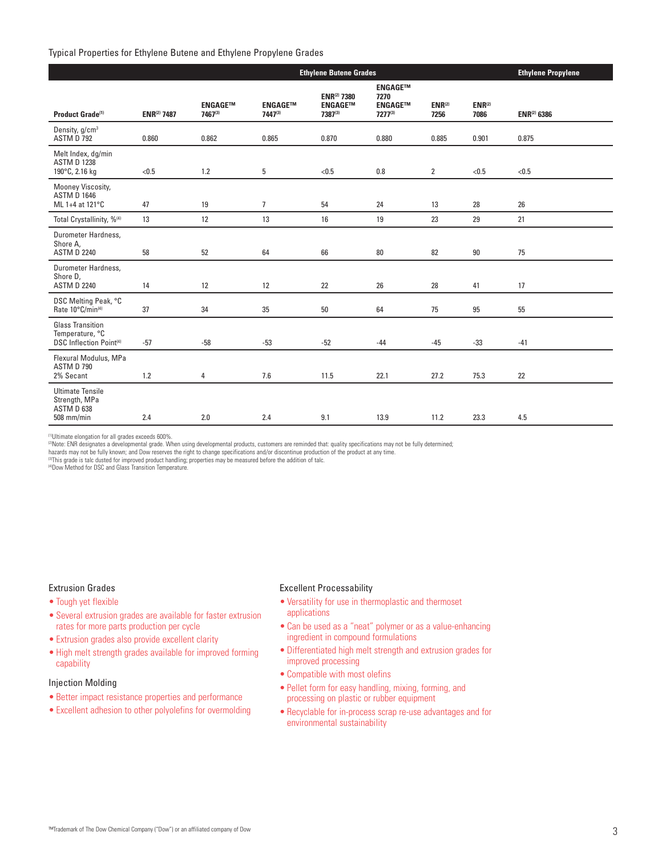# Typical Properties for Ethylene Butene and Ethylene Propylene Grades

|                                                                              |             | <b>Ethylene Propylene</b>  |                           |                                                  |                                                            |                     |                     |             |
|------------------------------------------------------------------------------|-------------|----------------------------|---------------------------|--------------------------------------------------|------------------------------------------------------------|---------------------|---------------------|-------------|
| Product Grade <sup>(1)</sup>                                                 | ENR(2) 7487 | <b>ENGAGETM</b><br>7467(3) | <b>ENGAGE™</b><br>7447(3) | <b>ENR(2) 7380</b><br><b>ENGAGETM</b><br>7387(3) | <b>ENGAGETM</b><br>7270<br><b>ENGAGETM</b><br>$7277^{(3)}$ | $ENR^{(2)}$<br>7256 | $ENR^{(2)}$<br>7086 | ENR(2) 6386 |
| Density, g/cm <sup>3</sup><br>ASTM D 792                                     | 0.860       | 0.862                      | 0.865                     | 0.870                                            | 0.880                                                      | 0.885               | 0.901               | 0.875       |
| Melt Index, dq/min<br><b>ASTM D 1238</b><br>190°C, 2.16 kg                   | < 0.5       | 1.2                        | 5                         | < 0.5                                            | 0.8                                                        | $\overline{2}$      | < 0.5               | < 0.5       |
| Mooney Viscosity,<br><b>ASTM D 1646</b><br>ML 1+4 at 121°C                   | 47          | 19                         | $\overline{7}$            | 54                                               | 24                                                         | 13                  | 28                  | 26          |
| Total Crystallinity, % <sup>(4)</sup>                                        | 13          | 12                         | 13                        | 16                                               | 19                                                         | 23                  | 29                  | 21          |
| Durometer Hardness,<br>Shore A,<br><b>ASTM D 2240</b>                        | 58          | 52                         | 64                        | 66                                               | 80                                                         | 82                  | $90\,$              | 75          |
| Durometer Hardness,<br>Shore D,<br><b>ASTM D 2240</b>                        | 14          | 12                         | 12                        | 22                                               | 26                                                         | 28                  | 41                  | 17          |
| DSC Melting Peak, °C<br>Rate 10°C/min(4)                                     | 37          | 34                         | 35                        | 50                                               | 64                                                         | 75                  | 95                  | 55          |
| <b>Glass Transition</b><br>Temperature, °C<br><b>DSC Inflection Point(4)</b> | $-57$       | $-58$                      | $-53$                     | $-52$                                            | $-44$                                                      | $-45$               | $-33$               | $-41$       |
| Flexural Modulus, MPa<br>ASTM D 790<br>2% Secant                             | 1.2         | $\overline{4}$             | 7.6                       | 11.5                                             | 22.1                                                       | 27.2                | 75.3                | 22          |
| <b>Ultimate Tensile</b><br>Strength, MPa<br>ASTM D 638<br>508 mm/min         | 2.4         | 2.0                        | 2.4                       | 9.1                                              | 13.9                                                       | 11.2                | 23.3                | 4.5         |

(1)Ultimate elongation for all grades exceeds 600%.

(2)Note: ENR designates a developmental grade. When using developmental products, customers are reminded that: quality specifications may not be fully determined;

hazards may not be fully known; and Dow reserves the right to change specifications and/or discontinue production of the product at any time.<br><sup>@</sup>This grade is talc dusted for improved product handling; properties may be me

(4)Dow Method for DSC and Glass Transition Temperature.

# Extrusion Grades

- Tough yet flexible
- • Several extrusion grades are available for faster extrusion rates for more parts production per cycle
- Extrusion grades also provide excellent clarity
- High melt strength grades available for improved forming capability

# Injection Molding

- Better impact resistance properties and performance
- Excellent adhesion to other polyolefins for overmolding

## Excellent Processability

- • Versatility for use in thermoplastic and thermoset applications
- • Can be used as a "neat" polymer or as a value-enhancing ingredient in compound formulations
- Differentiated high melt strength and extrusion grades for improved processing
- Compatible with most olefins
- • Pellet form for easy handling, mixing, forming, and processing on plastic or rubber equipment
- Recyclable for in-process scrap re-use advantages and for environmental sustainability